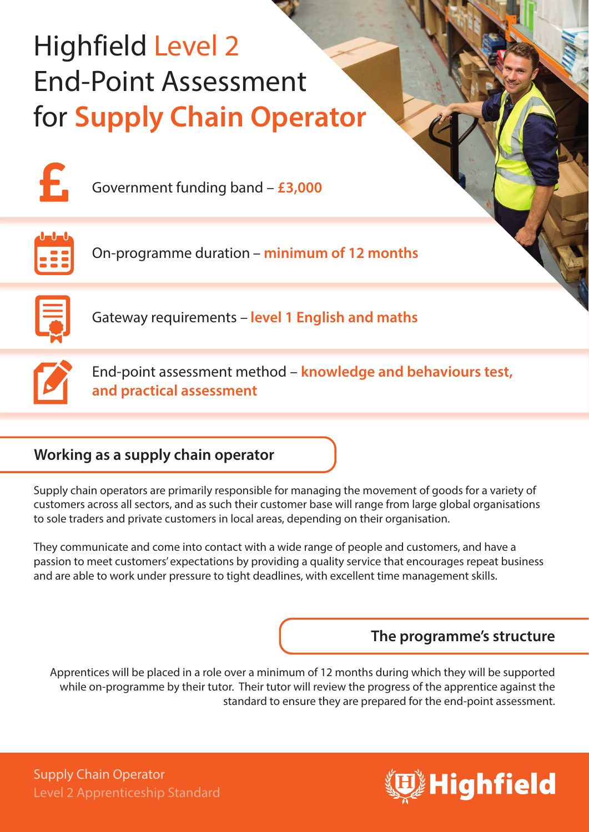# Highfield Level 2 End-Point Assessment for **Supply Chain Operator**



Government funding band – **£3,000**



On-programme duration – **minimum of 12 months**



Gateway requirements – **level 1 English and maths**

End-point assessment method – **knowledge and behaviours test, and practical assessment**

# **Working as a supply chain operator**

Supply chain operators are primarily responsible for managing the movement of goods for a variety of customers across all sectors, and as such their customer base will range from large global organisations to sole traders and private customers in local areas, depending on their organisation.

They communicate and come into contact with a wide range of people and customers, and have a passion to meet customers' expectations by providing a quality service that encourages repeat business and are able to work under pressure to tight deadlines, with excellent time management skills.

# **The programme's structure**

Apprentices will be placed in a role over a minimum of 12 months during which they will be supported while on-programme by their tutor. Their tutor will review the progress of the apprentice against the standard to ensure they are prepared for the end-point assessment.